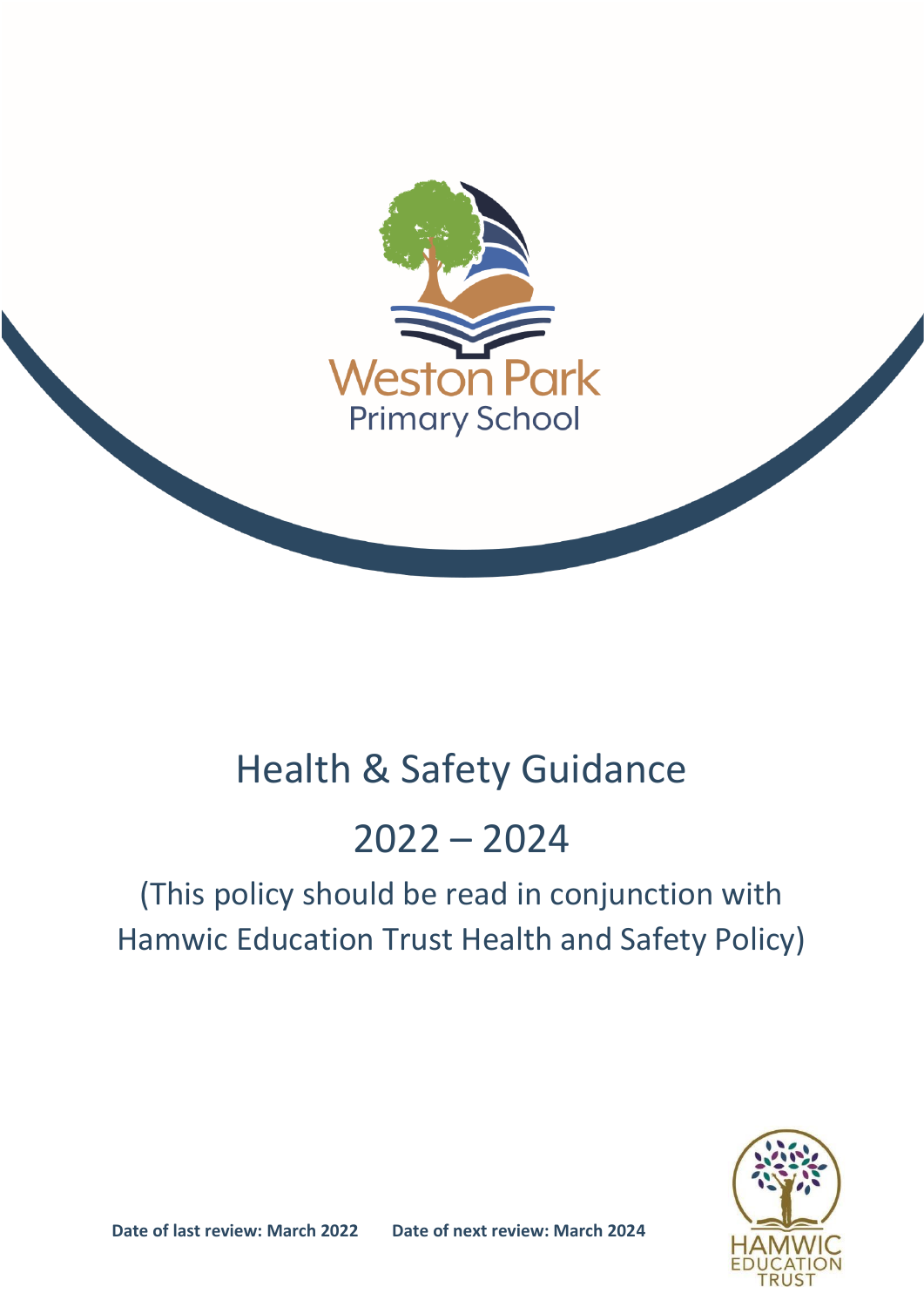

## Health & Safety Guidance

# 2022 – 2024

## (This policy should be read in conjunction with Hamwic Education Trust Health and Safety Policy)

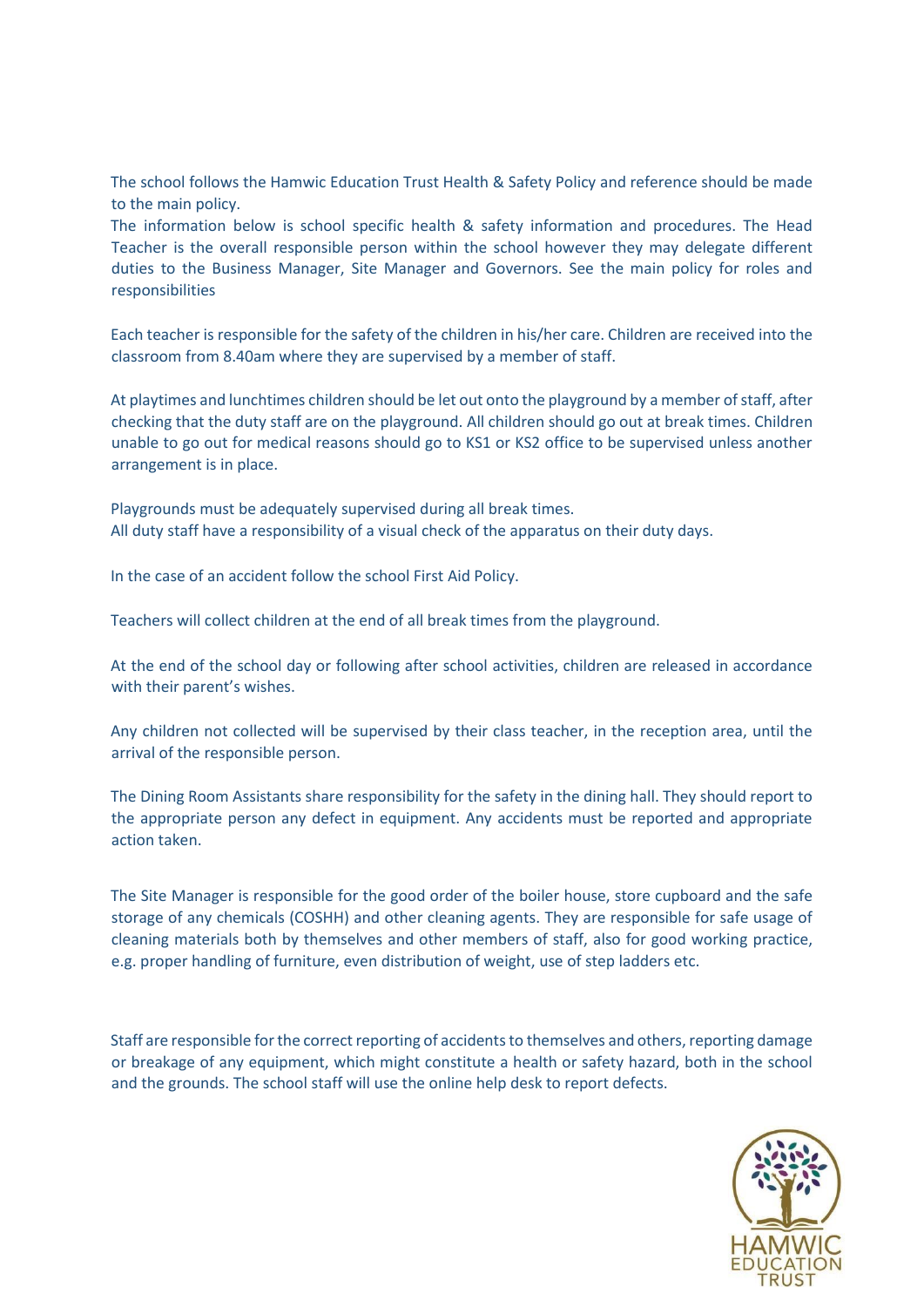The school follows the Hamwic Education Trust Health & Safety Policy and reference should be made to the main policy.

The information below is school specific health & safety information and procedures. The Head Teacher is the overall responsible person within the school however they may delegate different duties to the Business Manager, Site Manager and Governors. See the main policy for roles and responsibilities

Each teacher is responsible for the safety of the children in his/her care. Children are received into the classroom from 8.40am where they are supervised by a member of staff.

At playtimes and lunchtimes children should be let out onto the playground by a member of staff, after checking that the duty staff are on the playground. All children should go out at break times. Children unable to go out for medical reasons should go to KS1 or KS2 office to be supervised unless another arrangement is in place.

Playgrounds must be adequately supervised during all break times. All duty staff have a responsibility of a visual check of the apparatus on their duty days.

In the case of an accident follow the school First Aid Policy.

Teachers will collect children at the end of all break times from the playground.

At the end of the school day or following after school activities, children are released in accordance with their parent's wishes.

Any children not collected will be supervised by their class teacher, in the reception area, until the arrival of the responsible person.

The Dining Room Assistants share responsibility for the safety in the dining hall. They should report to the appropriate person any defect in equipment. Any accidents must be reported and appropriate action taken.

The Site Manager is responsible for the good order of the boiler house, store cupboard and the safe storage of any chemicals (COSHH) and other cleaning agents. They are responsible for safe usage of cleaning materials both by themselves and other members of staff, also for good working practice, e.g. proper handling of furniture, even distribution of weight, use of step ladders etc.

Staff are responsible for the correct reporting of accidents to themselves and others, reporting damage or breakage of any equipment, which might constitute a health or safety hazard, both in the school and the grounds. The school staff will use the online help desk to report defects.

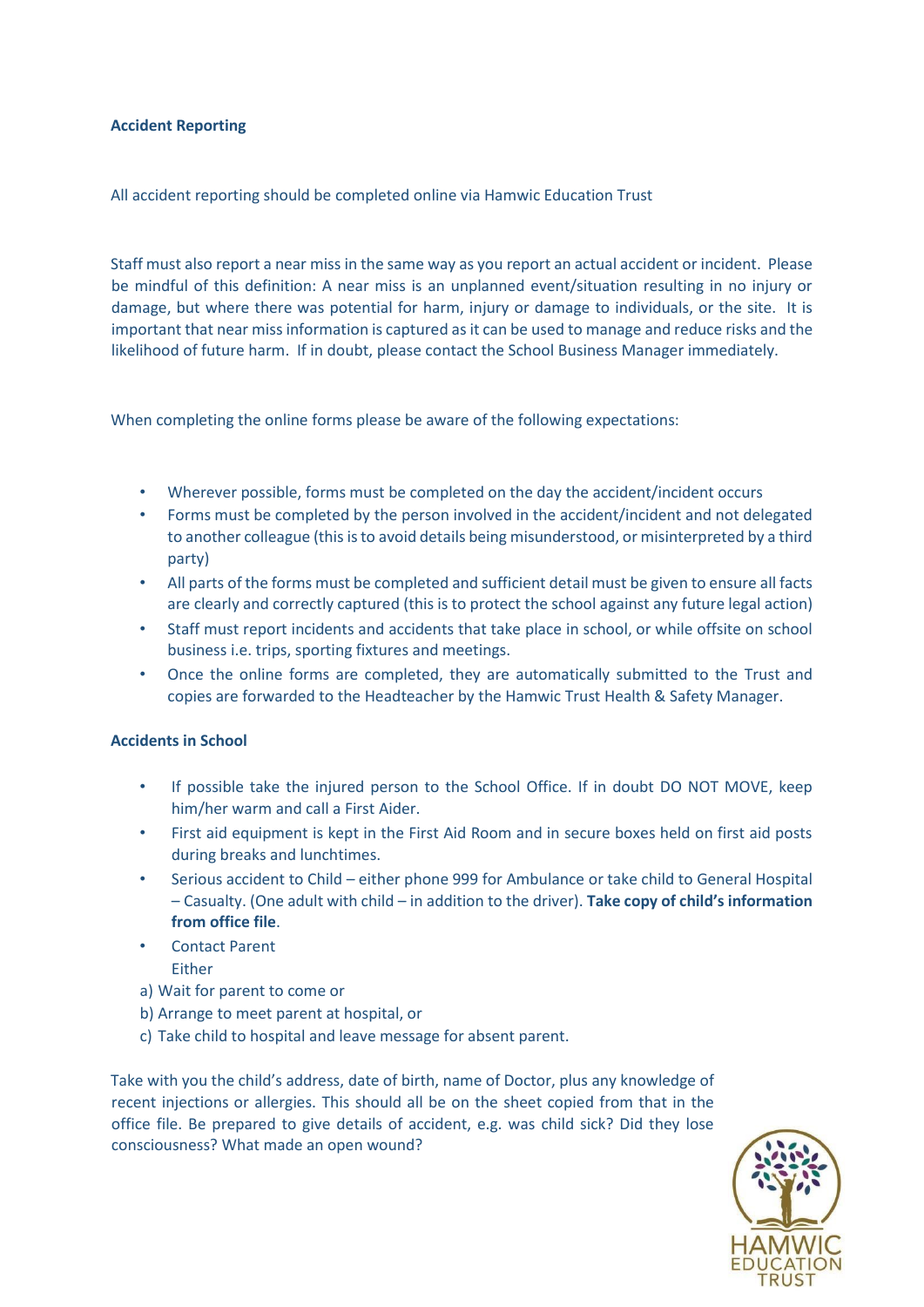## **Accident Reporting**

## All accident reporting should be completed online via Hamwic Education Trust

Staff must also report a near miss in the same way as you report an actual accident or incident. Please be mindful of this definition: A near miss is an unplanned event/situation resulting in no injury or damage, but where there was potential for harm, injury or damage to individuals, or the site. It is important that near miss information is captured as it can be used to manage and reduce risks and the likelihood of future harm. If in doubt, please contact the School Business Manager immediately.

When completing the online forms please be aware of the following expectations:

- Wherever possible, forms must be completed on the day the accident/incident occurs
- Forms must be completed by the person involved in the accident/incident and not delegated to another colleague (this is to avoid details being misunderstood, or misinterpreted by a third party)
- All parts of the forms must be completed and sufficient detail must be given to ensure all facts are clearly and correctly captured (this is to protect the school against any future legal action)
- Staff must report incidents and accidents that take place in school, or while offsite on school business i.e. trips, sporting fixtures and meetings.
- Once the online forms are completed, they are automatically submitted to the Trust and copies are forwarded to the Headteacher by the Hamwic Trust Health & Safety Manager.

## **Accidents in School**

- If possible take the injured person to the School Office. If in doubt DO NOT MOVE, keep him/her warm and call a First Aider.
- First aid equipment is kept in the First Aid Room and in secure boxes held on first aid posts during breaks and lunchtimes.
- Serious accident to Child either phone 999 for Ambulance or take child to General Hospital – Casualty. (One adult with child – in addition to the driver). **Take copy of child's information from office file**.
- Contact Parent Either
- a) Wait for parent to come or
- b) Arrange to meet parent at hospital, or
- c) Take child to hospital and leave message for absent parent.

Take with you the child's address, date of birth, name of Doctor, plus any knowledge of recent injections or allergies. This should all be on the sheet copied from that in the office file. Be prepared to give details of accident, e.g. was child sick? Did they lose consciousness? What made an open wound?

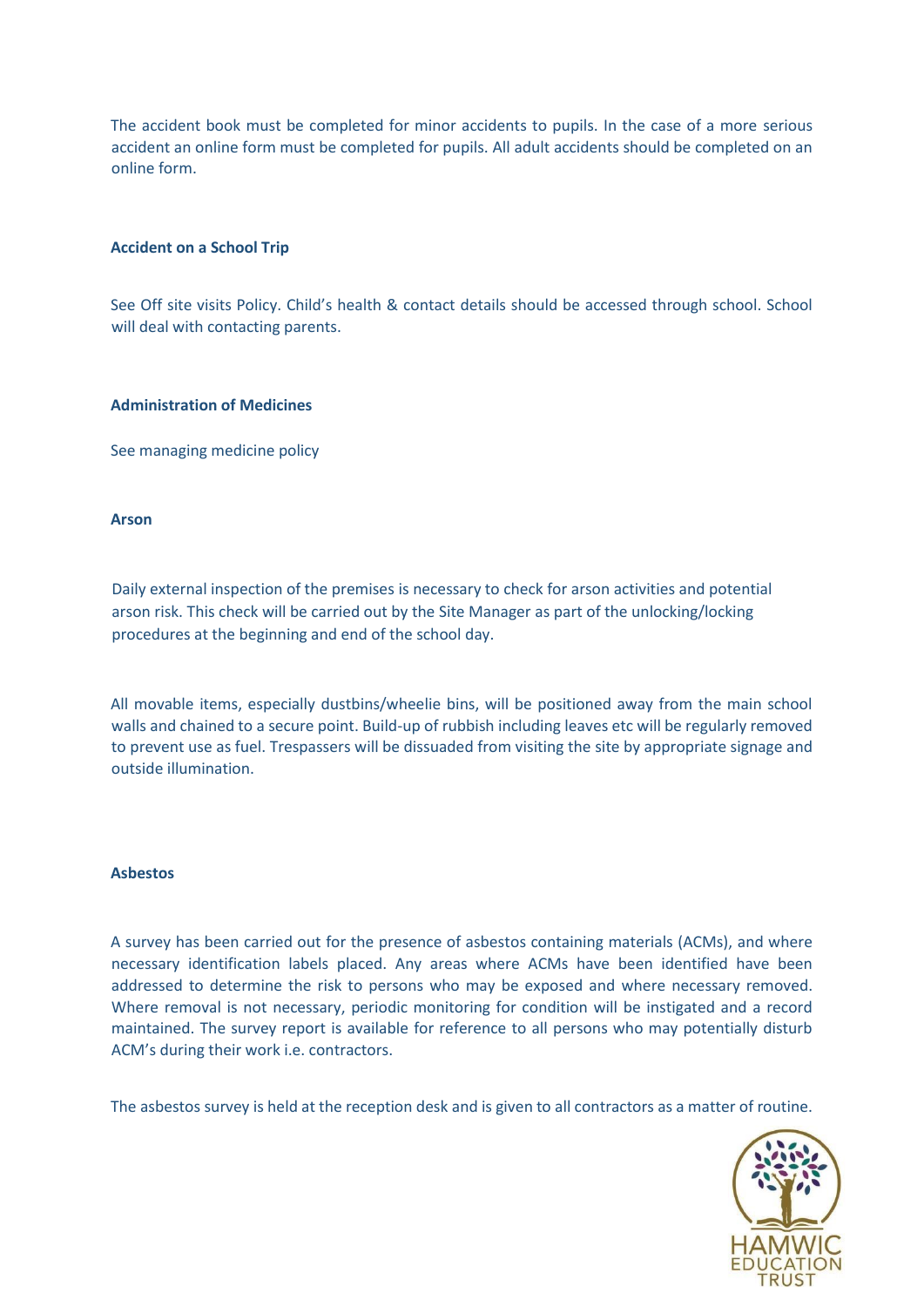The accident book must be completed for minor accidents to pupils. In the case of a more serious accident an online form must be completed for pupils. All adult accidents should be completed on an online form.

## **Accident on a School Trip**

See Off site visits Policy. Child's health & contact details should be accessed through school. School will deal with contacting parents.

### **Administration of Medicines**

See managing medicine policy

### **Arson**

Daily external inspection of the premises is necessary to check for arson activities and potential arson risk. This check will be carried out by the Site Manager as part of the unlocking/locking procedures at the beginning and end of the school day.

All movable items, especially dustbins/wheelie bins, will be positioned away from the main school walls and chained to a secure point. Build-up of rubbish including leaves etc will be regularly removed to prevent use as fuel. Trespassers will be dissuaded from visiting the site by appropriate signage and outside illumination.

## **Asbestos**

A survey has been carried out for the presence of asbestos containing materials (ACMs), and where necessary identification labels placed. Any areas where ACMs have been identified have been addressed to determine the risk to persons who may be exposed and where necessary removed. Where removal is not necessary, periodic monitoring for condition will be instigated and a record maintained. The survey report is available for reference to all persons who may potentially disturb ACM's during their work i.e. contractors.

The asbestos survey is held at the reception desk and is given to all contractors as a matter of routine.

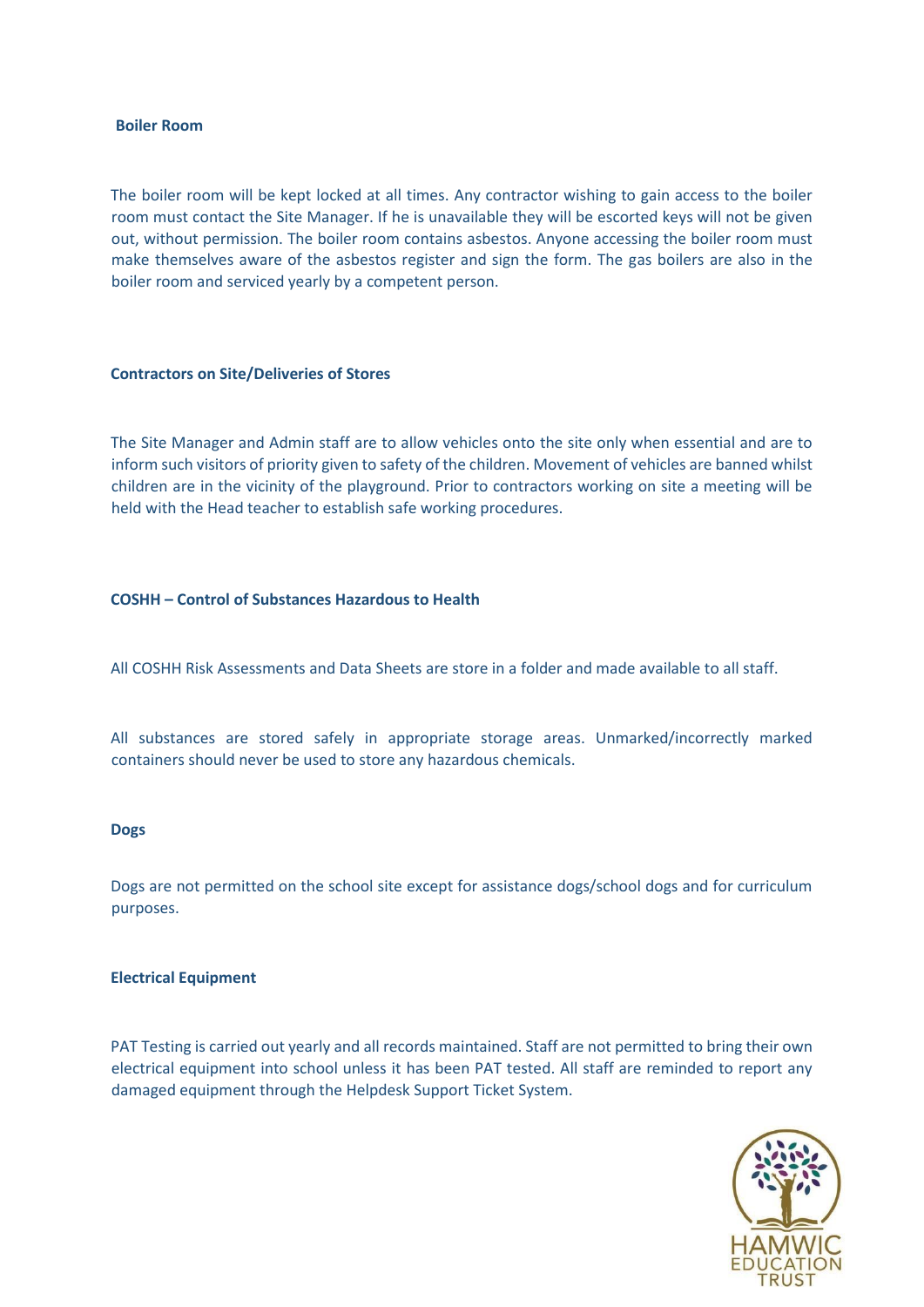#### **Boiler Room**

The boiler room will be kept locked at all times. Any contractor wishing to gain access to the boiler room must contact the Site Manager. If he is unavailable they will be escorted keys will not be given out, without permission. The boiler room contains asbestos. Anyone accessing the boiler room must make themselves aware of the asbestos register and sign the form. The gas boilers are also in the boiler room and serviced yearly by a competent person.

#### **Contractors on Site/Deliveries of Stores**

The Site Manager and Admin staff are to allow vehicles onto the site only when essential and are to inform such visitors of priority given to safety of the children. Movement of vehicles are banned whilst children are in the vicinity of the playground. Prior to contractors working on site a meeting will be held with the Head teacher to establish safe working procedures.

## **COSHH – Control of Substances Hazardous to Health**

All COSHH Risk Assessments and Data Sheets are store in a folder and made available to all staff.

All substances are stored safely in appropriate storage areas. Unmarked/incorrectly marked containers should never be used to store any hazardous chemicals.

#### **Dogs**

Dogs are not permitted on the school site except for assistance dogs/school dogs and for curriculum purposes.

#### **Electrical Equipment**

PAT Testing is carried out yearly and all records maintained. Staff are not permitted to bring their own electrical equipment into school unless it has been PAT tested. All staff are reminded to report any damaged equipment through the Helpdesk Support Ticket System.

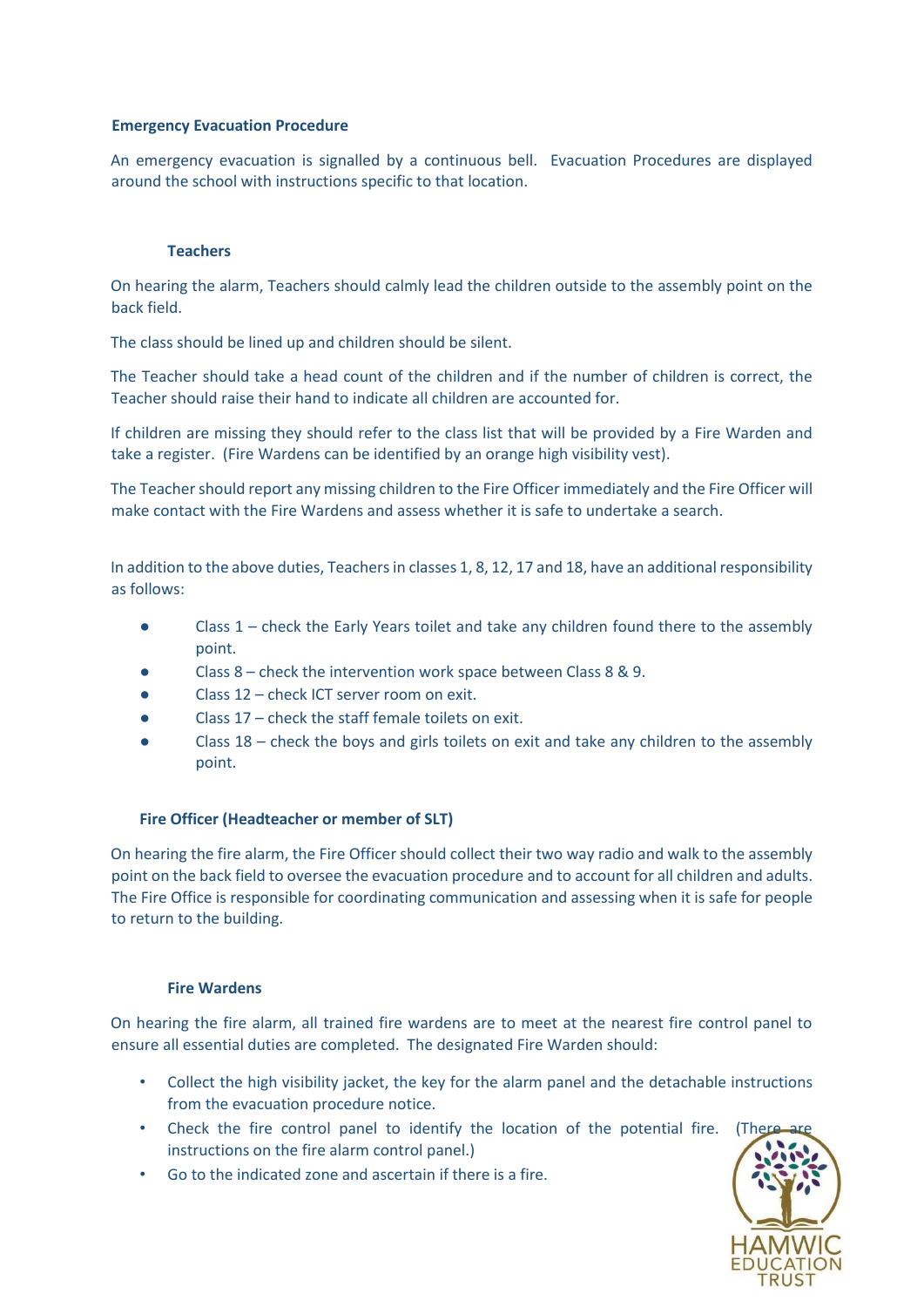## **Emergency Evacuation Procedure**

An emergency evacuation is signalled by a continuous bell. Evacuation Procedures are displayed around the school with instructions specific to that location.

## **Teachers**

On hearing the alarm, Teachers should calmly lead the children outside to the assembly point on the back field.

The class should be lined up and children should be silent.

The Teacher should take a head count of the children and if the number of children is correct, the Teacher should raise their hand to indicate all children are accounted for.

If children are missing they should refer to the class list that will be provided by a Fire Warden and take a register. (Fire Wardens can be identified by an orange high visibility vest).

The Teacher should report any missing children to the Fire Officer immediately and the Fire Officer will make contact with the Fire Wardens and assess whether it is safe to undertake a search.

In addition to the above duties, Teachers in classes 1, 8, 12, 17 and 18, have an additional responsibility as follows:

- Class 1 check the Early Years toilet and take any children found there to the assembly point.
- Class  $8$  check the intervention work space between Class 8 & 9.
- Class 12 check ICT server room on exit.
- Class  $17$  check the staff female toilets on exit.
- Class 18 check the boys and girls toilets on exit and take any children to the assembly point.

## **Fire Officer (Headteacher or member of SLT)**

On hearing the fire alarm, the Fire Officer should collect their two way radio and walk to the assembly point on the back field to oversee the evacuation procedure and to account for all children and adults. The Fire Office is responsible for coordinating communication and assessing when it is safe for people to return to the building.

## **Fire Wardens**

On hearing the fire alarm, all trained fire wardens are to meet at the nearest fire control panel to ensure all essential duties are completed. The designated Fire Warden should:

- Collect the high visibility jacket, the key for the alarm panel and the detachable instructions from the evacuation procedure notice.
- Check the fire control panel to identify the location of the potential fire. instructions on the fire alarm control panel.)
- Go to the indicated zone and ascertain if there is a fire.

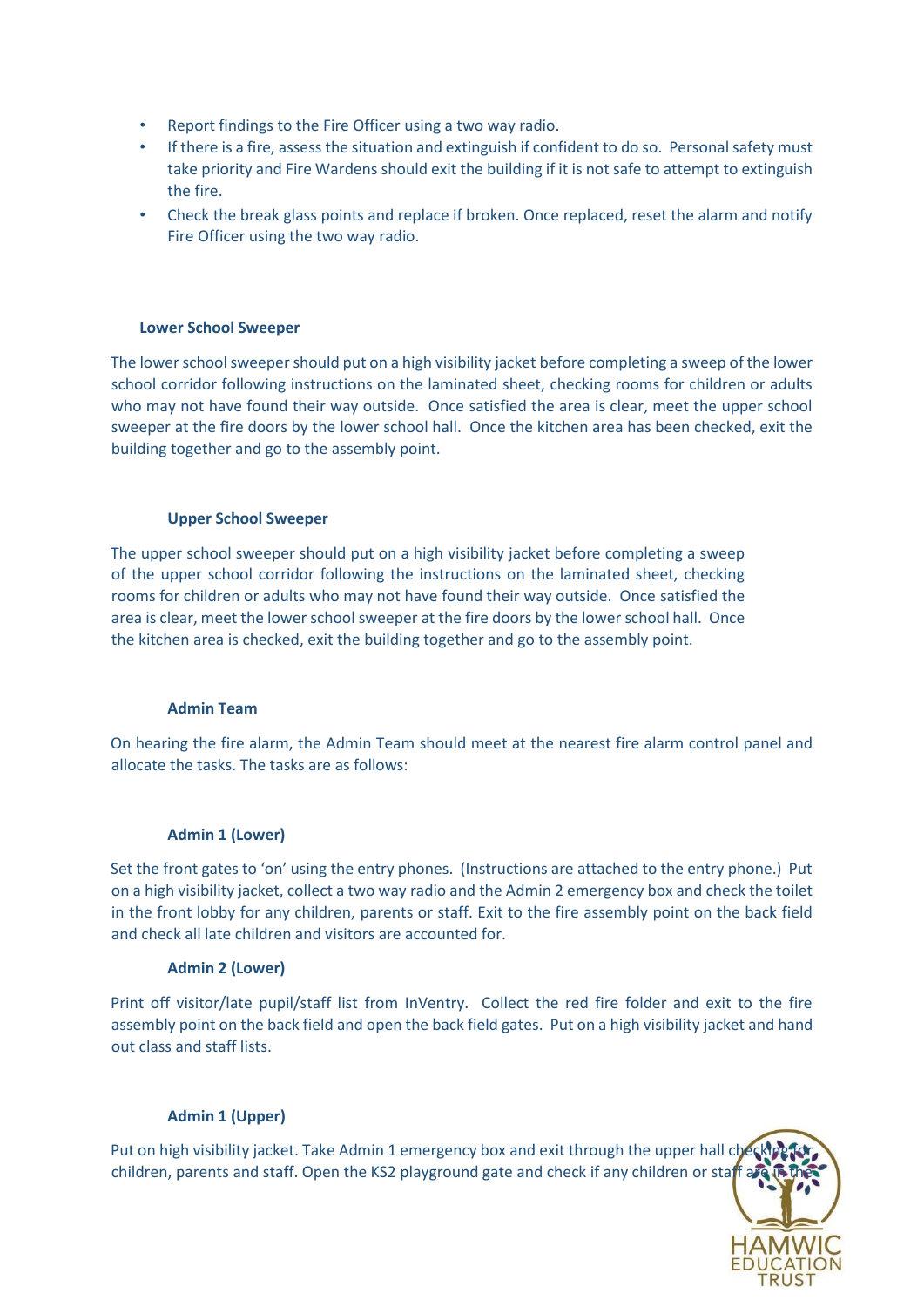- Report findings to the Fire Officer using a two way radio.
- If there is a fire, assess the situation and extinguish if confident to do so. Personal safety must take priority and Fire Wardens should exit the building if it is not safe to attempt to extinguish the fire.
- Check the break glass points and replace if broken. Once replaced, reset the alarm and notify Fire Officer using the two way radio.

### **Lower School Sweeper**

The lower school sweeper should put on a high visibility jacket before completing a sweep of the lower school corridor following instructions on the laminated sheet, checking rooms for children or adults who may not have found their way outside. Once satisfied the area is clear, meet the upper school sweeper at the fire doors by the lower school hall. Once the kitchen area has been checked, exit the building together and go to the assembly point.

### **Upper School Sweeper**

The upper school sweeper should put on a high visibility jacket before completing a sweep of the upper school corridor following the instructions on the laminated sheet, checking rooms for children or adults who may not have found their way outside. Once satisfied the area is clear, meet the lower school sweeper at the fire doors by the lower school hall. Once the kitchen area is checked, exit the building together and go to the assembly point.

#### **Admin Team**

On hearing the fire alarm, the Admin Team should meet at the nearest fire alarm control panel and allocate the tasks. The tasks are as follows:

#### **Admin 1 (Lower)**

Set the front gates to 'on' using the entry phones. (Instructions are attached to the entry phone.) Put on a high visibility jacket, collect a two way radio and the Admin 2 emergency box and check the toilet in the front lobby for any children, parents or staff. Exit to the fire assembly point on the back field and check all late children and visitors are accounted for.

#### **Admin 2 (Lower)**

Print off visitor/late pupil/staff list from InVentry. Collect the red fire folder and exit to the fire assembly point on the back field and open the back field gates. Put on a high visibility jacket and hand out class and staff lists.

## **Admin 1 (Upper)**

Put on high visibility jacket. Take Admin 1 emergency box and exit through the upper hall che children, parents and staff. Open the KS2 playground gate and check if any children or staff are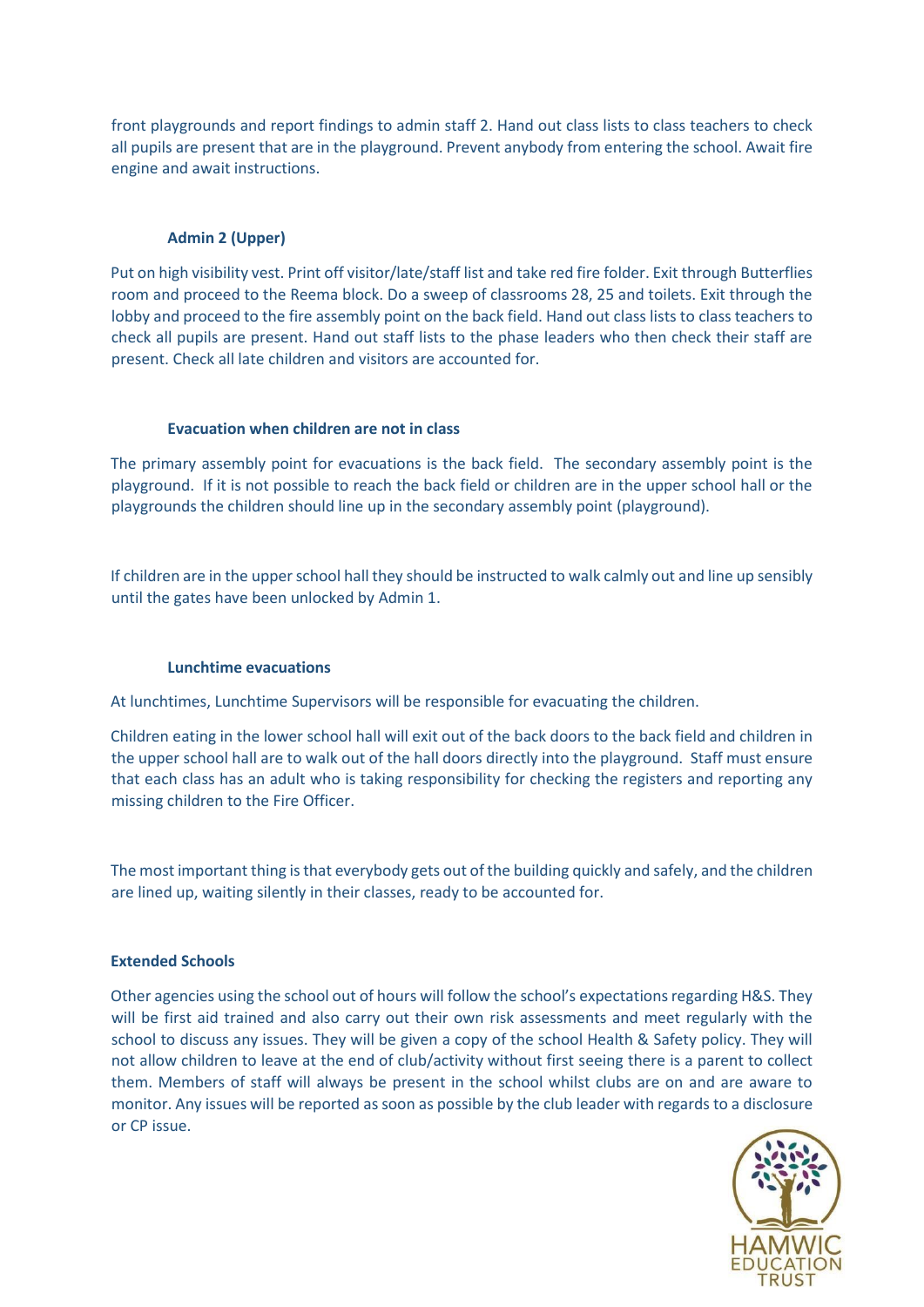front playgrounds and report findings to admin staff 2. Hand out class lists to class teachers to check all pupils are present that are in the playground. Prevent anybody from entering the school. Await fire engine and await instructions.

## **Admin 2 (Upper)**

Put on high visibility vest. Print off visitor/late/staff list and take red fire folder. Exit through Butterflies room and proceed to the Reema block. Do a sweep of classrooms 28, 25 and toilets. Exit through the lobby and proceed to the fire assembly point on the back field. Hand out class lists to class teachers to check all pupils are present. Hand out staff lists to the phase leaders who then check their staff are present. Check all late children and visitors are accounted for.

## **Evacuation when children are not in class**

The primary assembly point for evacuations is the back field. The secondary assembly point is the playground. If it is not possible to reach the back field or children are in the upper school hall or the playgrounds the children should line up in the secondary assembly point (playground).

If children are in the upper school hall they should be instructed to walk calmly out and line up sensibly until the gates have been unlocked by Admin 1.

## **Lunchtime evacuations**

At lunchtimes, Lunchtime Supervisors will be responsible for evacuating the children.

Children eating in the lower school hall will exit out of the back doors to the back field and children in the upper school hall are to walk out of the hall doors directly into the playground. Staff must ensure that each class has an adult who is taking responsibility for checking the registers and reporting any missing children to the Fire Officer.

The most important thing is that everybody gets out of the building quickly and safely, and the children are lined up, waiting silently in their classes, ready to be accounted for.

## **Extended Schools**

Other agencies using the school out of hours will follow the school's expectations regarding H&S. They will be first aid trained and also carry out their own risk assessments and meet regularly with the school to discuss any issues. They will be given a copy of the school Health & Safety policy. They will not allow children to leave at the end of club/activity without first seeing there is a parent to collect them. Members of staff will always be present in the school whilst clubs are on and are aware to monitor. Any issues will be reported as soon as possible by the club leader with regards to a disclosure or CP issue.

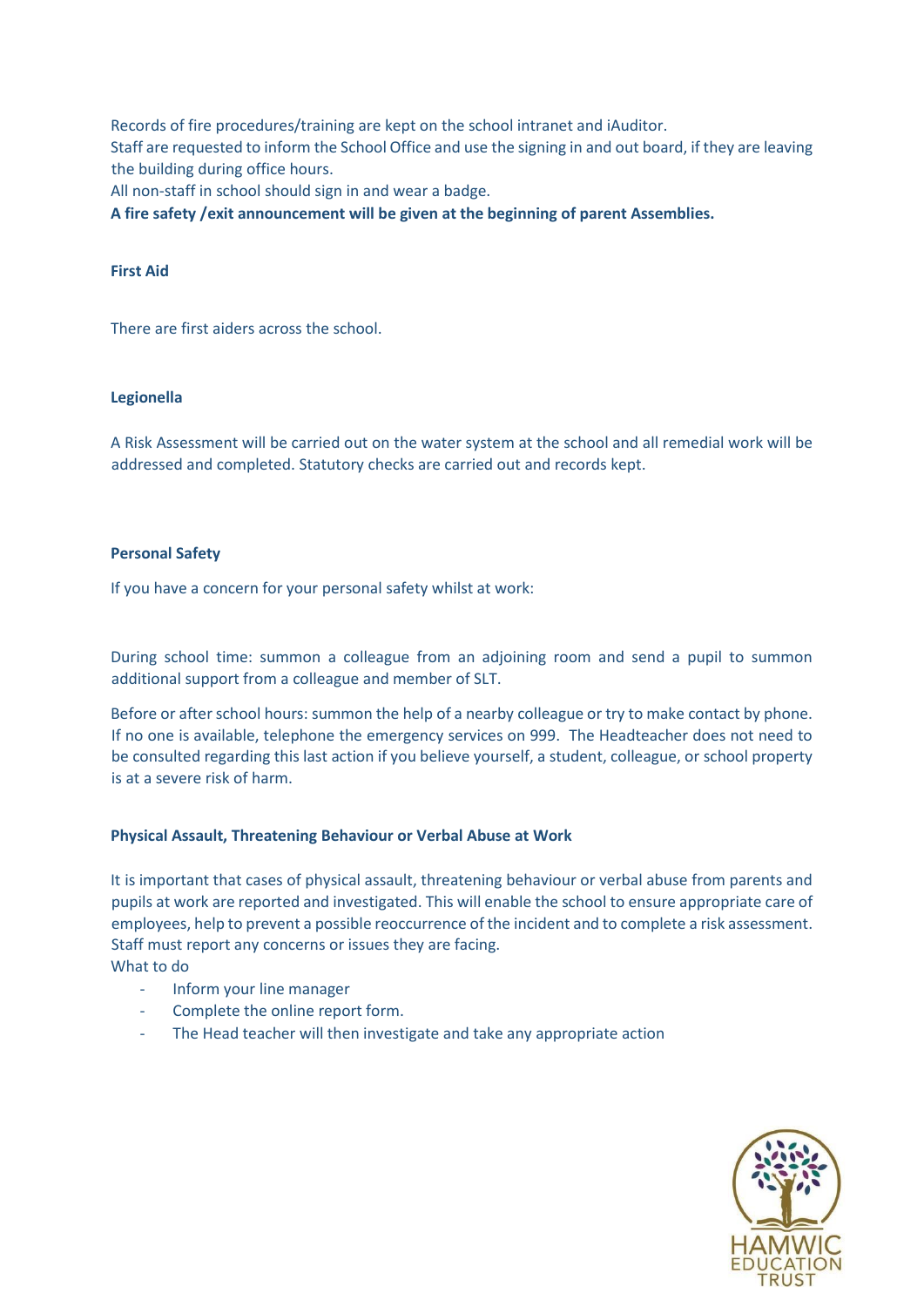Records of fire procedures/training are kept on the school intranet and iAuditor. Staff are requested to inform the School Office and use the signing in and out board, if they are leaving the building during office hours.

All non-staff in school should sign in and wear a badge.

**A fire safety /exit announcement will be given at the beginning of parent Assemblies.** 

## **First Aid**

There are first aiders across the school.

## **Legionella**

A Risk Assessment will be carried out on the water system at the school and all remedial work will be addressed and completed. Statutory checks are carried out and records kept.

## **Personal Safety**

If you have a concern for your personal safety whilst at work:

During school time: summon a colleague from an adjoining room and send a pupil to summon additional support from a colleague and member of SLT.

Before or after school hours: summon the help of a nearby colleague or try to make contact by phone. If no one is available, telephone the emergency services on 999. The Headteacher does not need to be consulted regarding this last action if you believe yourself, a student, colleague, or school property is at a severe risk of harm.

## **Physical Assault, Threatening Behaviour or Verbal Abuse at Work**

It is important that cases of physical assault, threatening behaviour or verbal abuse from parents and pupils at work are reported and investigated. This will enable the school to ensure appropriate care of employees, help to prevent a possible reoccurrence of the incident and to complete a risk assessment. Staff must report any concerns or issues they are facing. What to do

- Inform your line manager

- Complete the online report form.
- The Head teacher will then investigate and take any appropriate action

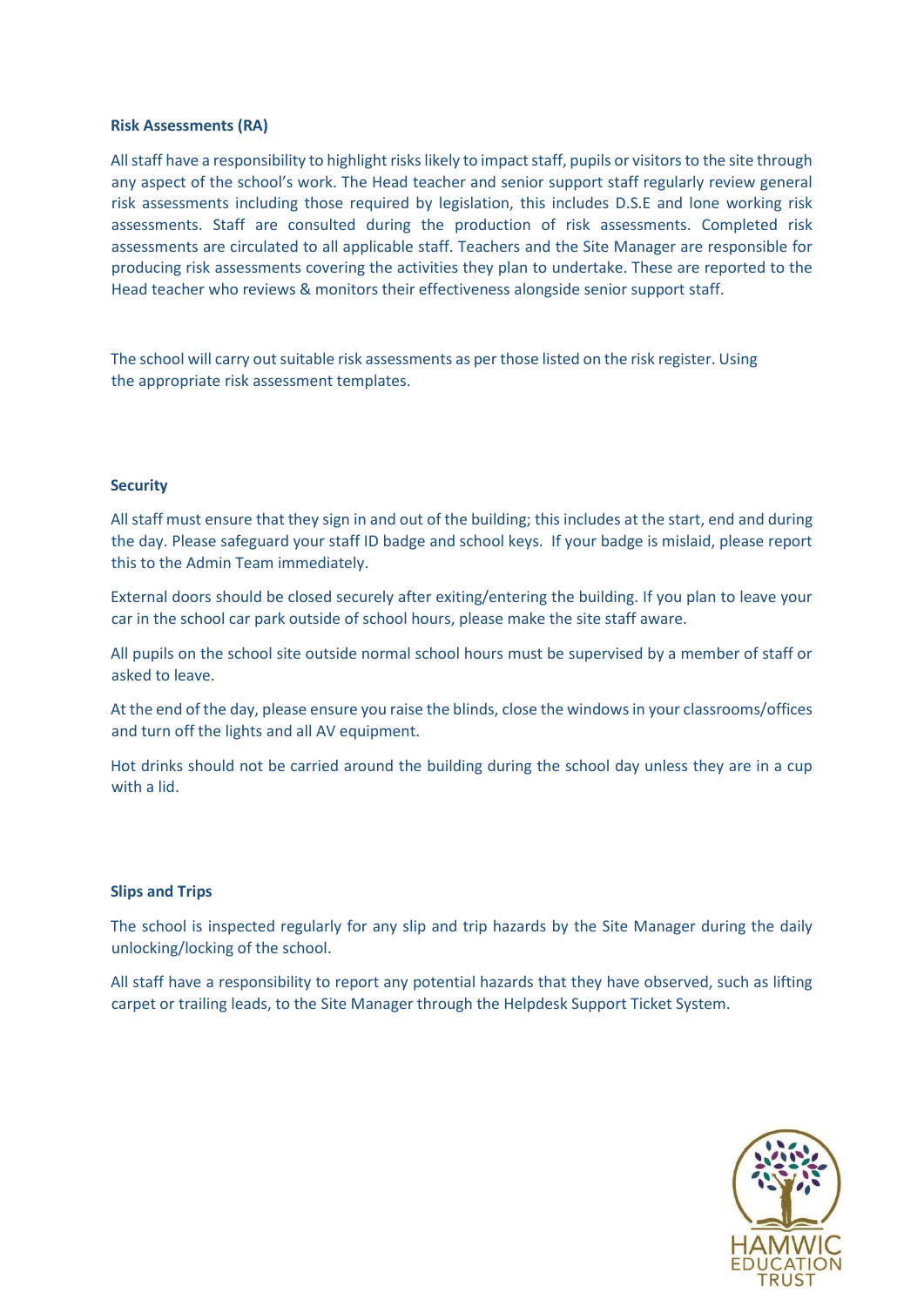#### **Risk Assessments (RA)**

All staff have a responsibility to highlight risks likely to impact staff, pupils or visitors to the site through any aspect of the school's work. The Head teacher and senior support staff regularly review general risk assessments including those required by legislation, this includes D.S.E and lone working risk assessments. Staff are consulted during the production of risk assessments. Completed risk assessments are circulated to all applicable staff. Teachers and the Site Manager are responsible for producing risk assessments covering the activities they plan to undertake. These are reported to the Head teacher who reviews & monitors their effectiveness alongside senior support staff.

The school will carry out suitable risk assessments as per those listed on the risk register. Using the appropriate risk assessment templates.

#### **Security**

All staff must ensure that they sign in and out of the building; this includes at the start, end and during the day. Please safeguard your staff ID badge and school keys. If your badge is mislaid, please report this to the Admin Team immediately.

External doors should be closed securely after exiting/entering the building. If you plan to leave your car in the school car park outside of school hours, please make the site staff aware.

All pupils on the school site outside normal school hours must be supervised by a member of staff or asked to leave.

At the end of the day, please ensure you raise the blinds, close the windows in your classrooms/offices and turn off the lights and all AV equipment.

Hot drinks should not be carried around the building during the school day unless they are in a cup with a lid.

#### **Slips and Trips**

The school is inspected regularly for any slip and trip hazards by the Site Manager during the daily unlocking/locking of the school.

All staff have a responsibility to report any potential hazards that they have observed, such as lifting carpet or trailing leads, to the Site Manager through the Helpdesk Support Ticket System.